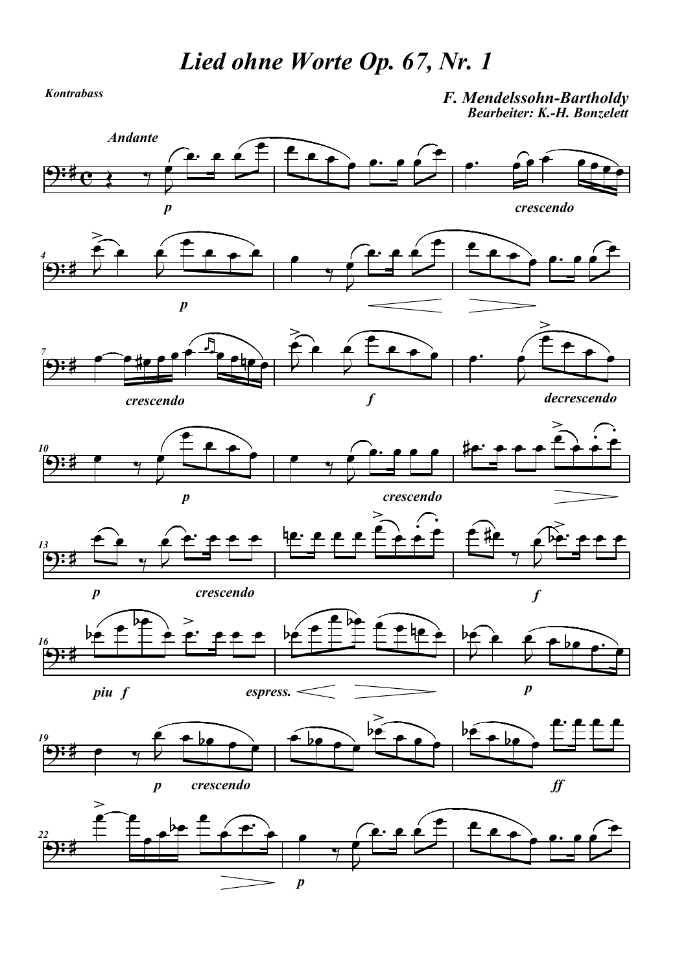## Lied ohne Worte Op. 67, Nr. 1

Kontrabass

F. Mendelssohn-Bartholdy Bearbeiter: K.-H. Bonzelett